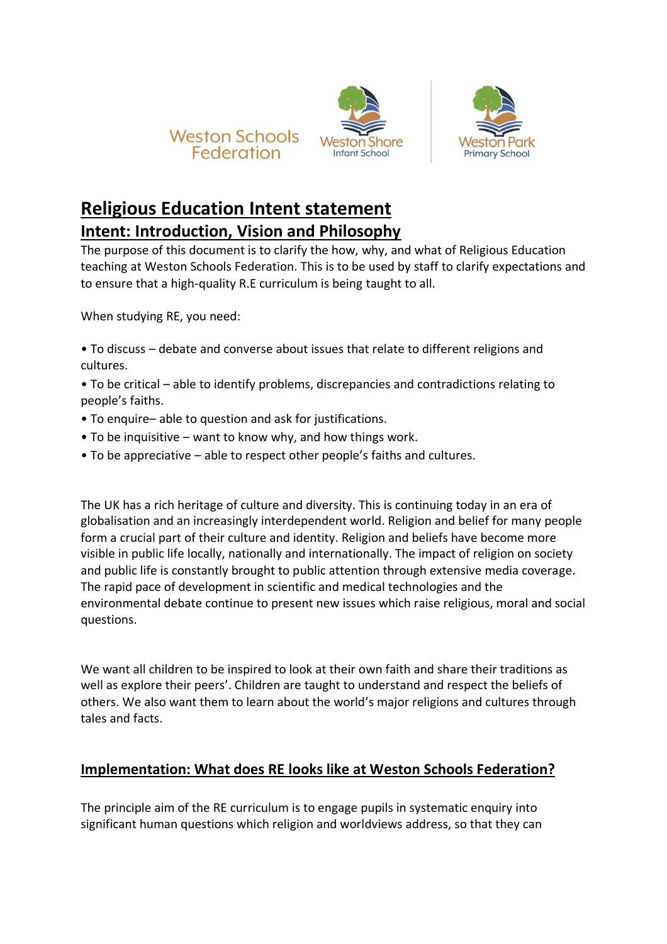





# **Religious Education Intent statement**

## **Intent: Introduction, Vision and Philosophy**

The purpose of this document is to clarify the how, why, and what of Religious Education teaching at Weston Schools Federation. This is to be used by staff to clarify expectations and to ensure that a high-quality R.E curriculum is being taught to all.

When studying RE, you need:

• To discuss – debate and converse about issues that relate to different religions and cultures.

• To be critical – able to identify problems, discrepancies and contradictions relating to people's faiths.

- To enquire– able to question and ask for justifications.
- To be inquisitive want to know why, and how things work.
- To be appreciative able to respect other people's faiths and cultures.

The UK has a rich heritage of culture and diversity. This is continuing today in an era of globalisation and an increasingly interdependent world. Religion and belief for many people form a crucial part of their culture and identity. Religion and beliefs have become more visible in public life locally, nationally and internationally. The impact of religion on society and public life is constantly brought to public attention through extensive media coverage. The rapid pace of development in scientific and medical technologies and the environmental debate continue to present new issues which raise religious, moral and social questions.

We want all children to be inspired to look at their own faith and share their traditions as well as explore their peers'. Children are taught to understand and respect the beliefs of others. We also want them to learn about the world's major religions and cultures through tales and facts.

### **Implementation: What does RE looks like at Weston Schools Federation?**

The principle aim of the RE curriculum is to engage pupils in systematic enquiry into significant human questions which religion and worldviews address, so that they can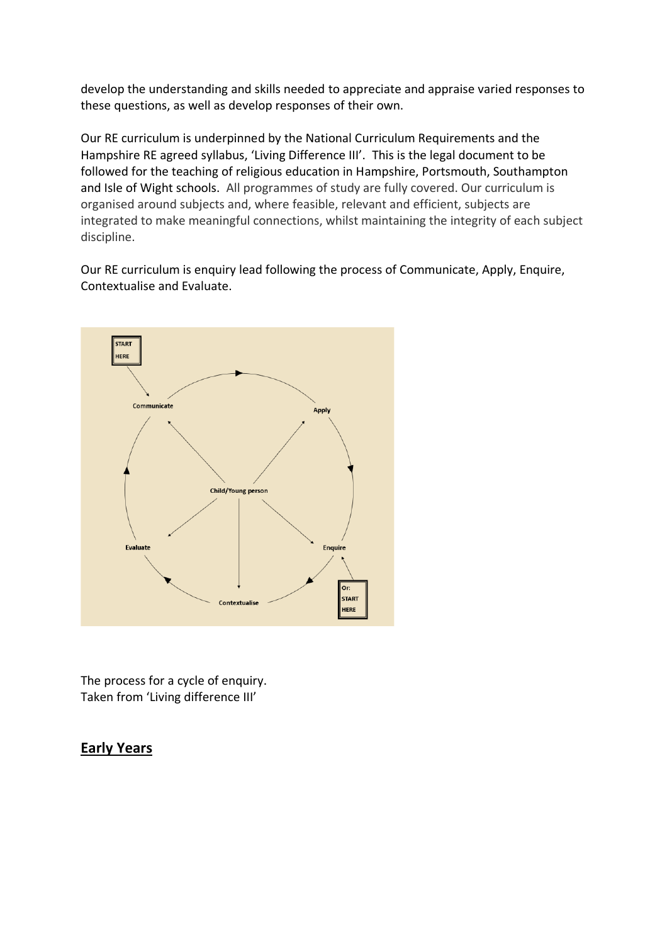develop the understanding and skills needed to appreciate and appraise varied responses to these questions, as well as develop responses of their own.

Our RE curriculum is underpinned by the National Curriculum Requirements and the Hampshire RE agreed syllabus, 'Living Difference III'. This is the legal document to be followed for the teaching of religious education in Hampshire, Portsmouth, Southampton and Isle of Wight schools. All programmes of study are fully covered. Our curriculum is organised around subjects and, where feasible, relevant and efficient, subjects are integrated to make meaningful connections, whilst maintaining the integrity of each subject discipline.

Our RE curriculum is enquiry lead following the process of Communicate, Apply, Enquire, Contextualise and Evaluate.



The process for a cycle of enquiry. Taken from 'Living difference III'

### **Early Years**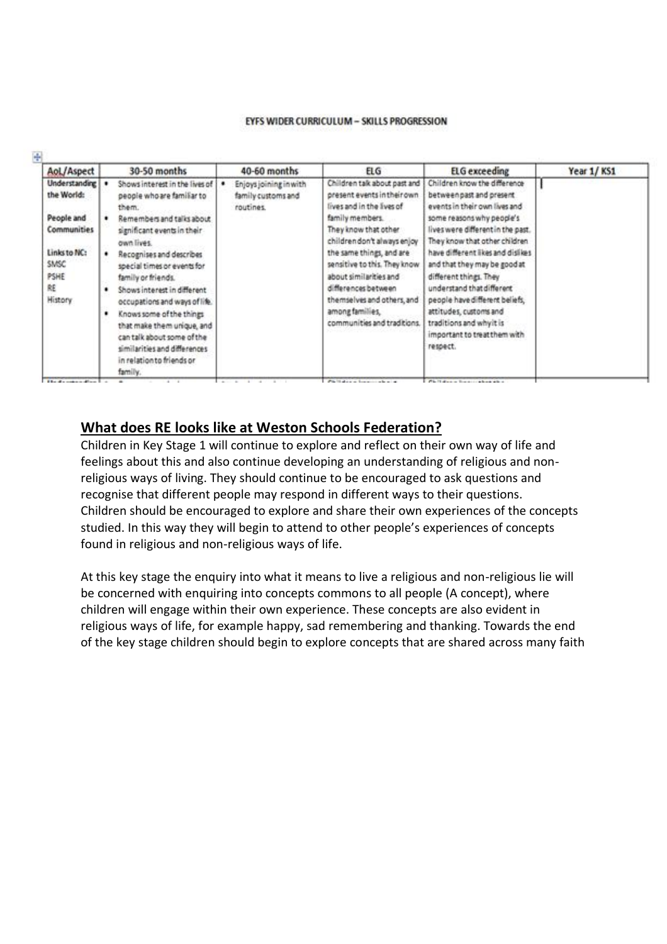#### EYFS WIDER CURRICULUM - SKILLS PROGRESSION

| AoL/Aspect                          |   | 30-50 months                                                                                                                                                 | 40-60 months                                              | <b>ELG</b>                                                                               | ELG exceeding                                                                                    | Year 1/KS1 |
|-------------------------------------|---|--------------------------------------------------------------------------------------------------------------------------------------------------------------|-----------------------------------------------------------|------------------------------------------------------------------------------------------|--------------------------------------------------------------------------------------------------|------------|
| Understanding<br>the World:         |   | Shows interest in the lives of<br>people who are familiar to<br>them.                                                                                        | Enjoys joining in with<br>family customs and<br>routines. | Children talk about past and<br>present events in their own<br>lives and in the lives of | Children know the difference<br>between past and present<br>events in their own lives and        |            |
| People and<br>Communities           |   | Remembers and talks about<br>significant events in their<br>own lives.                                                                                       |                                                           | family members.<br>They know that other<br>children don't always enjoy                   | some reasons why people's<br>lives were different in the past.<br>They know that other children. |            |
| Links to NC:<br>SMSC<br>PSHE        |   | Recognises and describes<br>special times or events for<br>family or friends.                                                                                |                                                           | the same things, and are<br>sensitive to this. They know<br>about similarities and       | have different likes and dislikes<br>and that they may be good at<br>different things. They      |            |
| ŘE<br>History                       | ٠ | Shows interest in different<br>occupations and ways of life.                                                                                                 |                                                           | differences between<br>themselves and others, and<br>among families,                     | understand that different<br>people have different beliefs.<br>attitudes, customs and            |            |
|                                     | ٠ | Knows some of the things<br>that make them unique, and<br>can talk about some of the<br>similarities and differences<br>in relation to friends or<br>family. |                                                           | communities and traditions.                                                              | traditions and whyit is<br>important to treat them with<br>respect.                              |            |
| <b>Richmond Company of Congress</b> |   | $+ -$                                                                                                                                                        | .                                                         | Which show to be a second to the                                                         | <b>Philadelphia Bona contractor of the Atlanta</b>                                               |            |

#### **What does RE looks like at Weston Schools Federation?**

Children in Key Stage 1 will continue to explore and reflect on their own way of life and feelings about this and also continue developing an understanding of religious and nonreligious ways of living. They should continue to be encouraged to ask questions and recognise that different people may respond in different ways to their questions. Children should be encouraged to explore and share their own experiences of the concepts studied. In this way they will begin to attend to other people's experiences of concepts found in religious and non-religious ways of life.

At this key stage the enquiry into what it means to live a religious and non-religious lie will be concerned with enquiring into concepts commons to all people (A concept), where children will engage within their own experience. These concepts are also evident in religious ways of life, for example happy, sad remembering and thanking. Towards the end of the key stage children should begin to explore concepts that are shared across many faith

 $(1)$